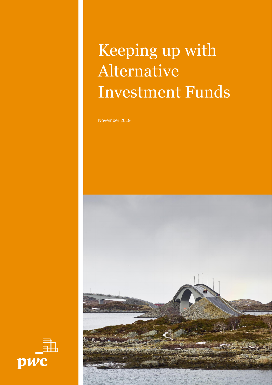# Keeping up with Alternative Investment Funds

November 2019



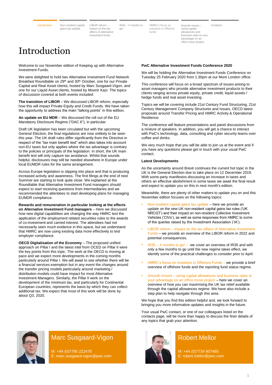<span id="page-1-0"></span>

LIBOR reform impact on the tax [affairs of alternative](#page-3-0)  investment funds go!

IR35 – [4 months to](#page-4-0) 

HMRC's focus on [investors in Offshore](#page-6-0)  funds

Smooth moves – using capital allowances and [business rates to your](#page-7-0)  advantage on an office move project [Contacts](#page-8-0)

## Introduction

Welcome to our November edition of Keeping up with Alternative Investment Funds.

We were delighted to hold two Alternative Investment Fund Network Breakfast Roundtable on 29<sup>th</sup> and 30<sup>th</sup> October, one for our Private Capital and Real Asset clients, hosted by Marc Susgaard-Vigon, and one for our Liquid Asset clients, hosted by Moonir Kazi. The topics of discussion covered at both events included:

**The transition of LIBOR** – We discussed LIBOR reform, especially how this will impact Private Equity and Credit Funds. We have taken the opportunity to address the main "talking points" in this edition.

**An update on EU MDR** – We discussed the roll out of the EU Mandatory Disclosure Regime ("DAC 6"), in particular:

Draft UK legislation has been circulated but with the upcoming General Election, the final regulations are now unlikely to be seen this year. The UK draft rules differ significantly from the Directive in respect of the "tax main benefit test" which also takes into account non-EU taxes but only applies where the tax advantage is contrary to the policies or principals of the legislation. In short, the UK main benefit test will only capture tax avoidance. Whilst that sounds helpful, disclosures may still be needed elsewhere in Europe under local EUMDR rules for the same arrangement.

Across Europe legislation is slipping into place and that is producing increased activity and awareness. The first filings at the end of next Summer are starting to look quite close. We explained at the Roundtable that Alternative Investment Fund managers should expect to start receiving questions from intermediaries and we recommended the attendees to start developing plans for managing EUMDR compliance.

**Rewards and remuneration in particular looking at the effects on Alternative Investment Fund managers** – Here we discussed how new digital capabilities are changing the way HMRC test the application of the employment related securities rules to the awards of co-investment and carried interest. The attendees had not necessarily seen much evidence in this space, but we understand that HMRC are now using existing data more effectively to test employer compliance.

**OECD Digitalisation of the Economy** – The proposed unified approach on Pillar I and the latest intel from OCED on Pillar II were the key points from this topic. Th[e work a](https://thesuite.pwc.com/insights/the-chancellors-spring-statement-pwc-update?utm_source=Newsletter&utm_medium=Email&utm_campaign=Newsletter_20032019)t the OECD is moving at pace and we expect more developments in the coming months particularly around Pillar I. We will await to see whether there will be a financial services exemption but in any event the changes around the transfer pricing models particularly around marketing / distribution models could have impact for most Alternative Investment Managers. Similarly, the Pillar II work on the development of the minimum tax, and particularly for Continental European countries, represents the basis by which they can collect additional tax. We expect that most of this work will be done by about Q3, 2020.

#### **PwC Alternative Investment Funds Conference 2020**

We will be holding the Alternative Investment Funds Conference on Tuesday 25 February 2020 from 1.30pm at our More London office.

This conference will focus on a broad spectrum of issues arising to asset managers who provide alternative investment products to their clients ranging across private equity, private credit, liquid assets / hedge funds and real asset investing.

Topics we will be covering include 21st Century Fund Structuring, 21st Century Management Company Structures and Issues, OECD latest proposals around Transfer Pricing and HMRC Activity & Operational Resilience.

The conference will feature presentations and panel discussions from a mixture of speakers. In addition, you will get a chance to interact with PwC's technology, data, consulting and cyber security teams over coffee and drinks.

We very much hope that you will be able to join us at the event and if you have any questions please get in touch with your usual PwC contact.

#### **Latest Developments**

As the uncertainty around Brexit continues the current hot topic in the UK is the General Election due to take place on 12 December 2019. With some party manifestos discussing an increase in taxes and others an effective abolishment in some taxes we await the final result and expect to update you on this in next month's edition.

Meanwhile, there are plenty of other matters to update you on and this November edition focuses on the following topics:

- Non-resident capital gains tax update here we provide an update on the new UK non-resident capital gains tax rules ('UK NRCGT') and their impact on non-resident Collective Investment Vehicles ('CIVs'), as well as some responses from HMRC to some of the queries raised by the Investment Association ('IA').
- LIBOR reform impact on the tax affairs of Alternative Investment Funds – we provide an overview of the LIBOR reform in 2022 and potential consequences.
- $IR35 4$  months to go! we cover an overview of IR35 and with only a few months to go until the new regime takes effect, we identify some of the practical challenges to consider prior to April.
- HMRC's focus on investors in Offshore Funds we provide a brief overview of offshore funds and the reporting fund status regime.
- Smooth moves using capital allowances and business rates to your advantage on an office move project – here we cover an overview of how you can maximising the UK tax relief available through the capital allowances regime. We have also include a step plan to help navigate through this area.

We hope that you find this edition helpful and, we look forward to bringing you more informative updates and insights in the future.

Your usual PwC contact, or one of our colleagues listed on the contacts page, will be more than happy to discuss the finer details of any topics that grab your attention.



### Marc Susgaard-Vigon

M: +44 (0)7795 222478 E: marc.susgaard-vigon@pwc.com



### Robert Mellor

M: +44 (0)7734 607485 E: robert.mellor@pwc.com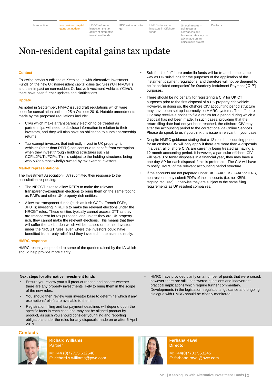<span id="page-2-0"></span>

LIBOR reform – impact on the tax [affairs of alternative](#page-3-0)  investment funds go!

IR35 – [4 months to](#page-4-0) 

HMRC's focus on investors in Offshore funds

Smooth moves – using capital allowances and [business rates to your](#page-7-0)  advantage on an office move project [Contacts](#page-8-0)

## Non-resident capital gains tax update

#### **Context**

Following previous editions of Keeping up with Alternative Investment Funds on the new UK non-resident capital gains tax rules ('UK NRCGT') and their impact on non-resident Collective Investment Vehicles ('CIVs'), there have been further updates and clarifications.

#### **Update**

As noted in September, HMRC issued draft regulations which were open for consultation until the 25th October 2019. Notable amendments made by the proposed regulations include:

- CIVs which make a transparency election to be treated as partnerships will need to disclose information in relation to their investors, and they will also have an obligation to submit partnership returns.
- Tax exempt investors that indirectly invest in UK property rich vehicles (other than REITs) can continue to benefit from exemption when they invest through holding structures such as CCFs/JPUTs/FCPs. This is subject to the holding structures being wholly (or almost wholly) owned by tax exempt investors.

#### **Market representations**

The Investment Association ('IA') submitted their response to the consultation requesting:

- The NRCGT rules to allow REITs to make the relevant transparency/exemption elections to bring them on the same footing as PAIFs and other UK property rich entities.
- Allow tax transparent funds (such as Irish CCFs, French FCPs, JPUTs) investing in REITs to make the relevant elections under the NRCGT rules. These entities typically cannot access DTT as they are transparent for tax purposes, and unless they are UK property rich, they cannot make the relevant elections. This means that they will suffer the tax burden which will be passed on to their investors under the NRCGT rules, even where the investors could have benefited from treaty relief had they invested in the assets directly.

#### **HMRC response**

HMRC recently responded to some of the queries raised by the IA which should help provide more clarity.

#### **Next steps for alternative investment funds**

- Ensure you review your full product ranges and assess whether there are any property investments likely to bring them in the scope of the new rules.
- You should then review your investor base to determine which if any exemptions/reliefs are available to them.
- Registration, filing and tax payment deadlines will depend upon the specific facts in each case and may not be aligned product by product, as such you should consider your filing and reporting obligations under the rules for any disposals made on or after 6 April 2019.
- **Contacts**



**Richard Williams** Partner

M: +44 (0)77725 632540 E: richard.x.williams@pwc.com



**Farhana Raval Director**

M: +44(0)7703 563245 E: farhana.raval@pwc.com

- Sub-funds of offshore umbrella funds will be treated in the same way as UK sub-funds for the purposes of the application of the instalment payment regulations, and therefore will not be deemed to be 'associated companies' for Quarterly Instalment Payment ('QIP') purposes.
- There should be no penalty for registering a CIV for UK CT purposes prior to the first disposal of a UK property rich vehicle. However, in doing so, the offshore CIV accounting period structure may have been set up incorrectly on HMRC systems. The offshore CIV may receive a notice to file a return for a period during which a disposal has not been made. In such cases, providing that the return filing date had not yet been reached, the offshore CIV may alter the accounting period to the correct one via Online Services. Please do speak to us if you think this issue is relevant in your case.
- Despite HMRC guidance stating that a 12 month accounting period for an offshore CIV will only apply if there are more than 4 disposals in a year, all offshore CIVs are currently being treated as having a 12 month accounting period. If however, a particular offshore CIV will have 3 or fewer disposals in a financial year, they may have a one-day AP for each disposal if this is preferable. The CIV will have to notify HMRC of the relevant accounting period structure.
- If the accounts are not prepared under UK GAAP, US GAAP or IFRS, non-resident may submit PDFs of their accounts (i.e. no iXBRL tagging required). Otherwise they are subject to the same filing requirements as UK resident companies.

• HMRC have provided clarity on a number of points that were raised, however there are still unanswered questions and inadvertent practical implications which require further commentary.

Developments in the legislation, regulations, guidance and ongoing

dialogue with HMRC should be closely monitored.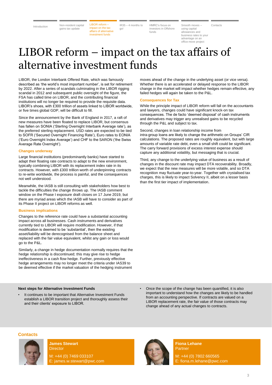<span id="page-3-0"></span>

LIBOR reform – impact on the tax [affairs of alternative](#page-3-0)  investment funds go! HMRC's focus on investors in Offshore funds

Smooth moves – using capital allowances and business rates to your advantage on an office move project  $IR35 - 4$  months to HMRC's focus on Smooth moves - [Contacts](#page-8-0)

## LIBOR reform – impact on the tax affairs of alternative investment funds

LIBOR, the London Int[erbank Offered Rate,](https://thesuite.pwc.com/media/9505/keeping-up-with-asset-and-wealth-management-tax-february-2019.pdf) which was famously described as 'the world's most important number', is set for retirement by 2022. After a series of scandals culminating in the LIBOR rigging scandal in 2012 and subsequent public oversight of the figure, the FSA has called time on LIBOR, and the contributing financial institutions will no longer be required to provide the requisite data. LIBOR's shoes, with £300 trillion of assets linked to LIBOR worldwide, or five times global GDP, will be difficult to fill.

Since the announcement by the Bank of England in 2017, a raft of new measures have been floated to replace LIBOR, but consensus has fallen on SONIA ('Sterling Overnight Interbank Average rate'), as the preferred sterling replacement. USD rates are expected to be tied to SOFR ('Secured Overnight Financing Rate'), Euro rates to EONIA ('Euro Overnight Index Average') and CHF to the SARON ('the Swiss Average Rate Overnight').

#### **Changes underway**

Large financial institutions (predominantly banks) have started to adapt their floating rate contracts to adapt to the new environment, typically combining LIBOR with its replacement index rate in its contracts. However, with £300 trillion worth of underpinning contracts to re-write worldwide, the process is painful, and the consequences not well understood.

Meanwhile, the IASB is still consulting with stakeholders how best to tackle the difficulties the change throws up. The IASB comment window on the Phase I exposure draft closes on 17 June 2019, but there are myriad areas which the IASB will have to consider as part of its Phase II project on LIBOR reforms as well.

#### **Business implications**

Changes to the reference rate could have a substantial accounting impact across all businesses. Cash instruments and derivatives currently tied to LIBOR will require modification. However, if that modification is deemed to be 'substantial', then the existing asset/liability will be derecognised from the balance sheet and replaced with the fair value equivalent, whilst any gain or loss would go to the P&L.

Similarly, a change in hedge documentation normally requires that the hedge relationship is discontinued; this may give rise to hedge ineffectiveness in a cash flow hedge. Further, previously effective hedge arrangements may no longer meet the criteria under IAS39 to be deemed effective if the market valuation of the hedging instrument

#### **Next steps for Alternative Investment Funds**

It continues to be important that Alternative Investment Funds establish a LIBOR transition project and thoroughly assess their and their clients' exposure to LIBOR.

moves ahead of the change in the underlying asset (or vice versa). Whether there is an accelerated or delayed response to the LIBOR change in the market will impact whether hedges remain effective, any failed hedges will again be taken to the P&L.

#### **Consequences for Tax**

While the principle impact of LIBOR reform will fall on the accountants and lawyers, changes could have significant knock-on tax consequences. The de facto 'deemed disposal' of cash instruments and derivatives may trigger any unrealised gains to be recycled through the P&L and subject to tax.

Second, changes in loan relationship income from intra-group loans are likely to change the arithmetic on Groups' CIR calculations. The proposed rates are roughly equivalent, but with large amounts of variable rate debt, even a small shift could be significant. The carry forward provisions of excess interest expense should capture any additional volatility, but messaging that is crucial.

Third, any change to the underlying value of business as a result of changes in the discount rate may impact DTA recoverability. Broadly, we expect that the new measures will be more volatile, and so DTA recognition may fluctuate year-to-year. Together with crystalised tax charges, this is likely to impact Solvency II, albeit on a lesser basis than the first tier impact of implementation.

• Once the scope of the change has been quantified, it is also important to understand how the changes are likely to be handled from an accounting perspective. If contracts are valued on a LIBOR replacement rate, the fair value of those contracts may change ahead of any actual changes to contracts.





**James Stewart Director** M: +44 (0) 7469 033107 E: james.w.stewart@pwc.com



**Fiona Lehane Partner** M: +44 (0) 7802 660565 E: fiona.m.lehane@pwc.com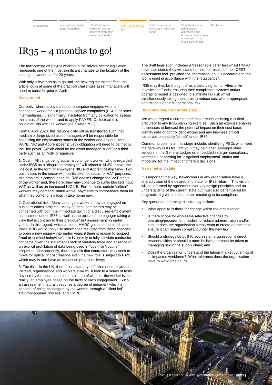<span id="page-4-0"></span>

LIBOR reform impact on the tax [affairs of alternative](#page-3-0)  investment funds go!

IR35 – [4 months to](#page-4-0)  HMRC's focus on investors in Offshore funds

Smooth moves – using capital allowances and [business rates to your](#page-7-0)  advantage on an office move project

[Contacts](#page-8-0)

## $IR35 - 4$  months to go!

The forthcoming off payroll working in the private sector legislation represents one of the most significant changes to the taxation of the contingent workforce for 20 years.

With only a few months to go until the new regime takes effect, this article looks at some of the practical challenges asset managers will need to consider prior to April.

#### **Background**

Currently, where a private sector enterprise engages with its contingent workforce via personal service companies (PSCs) or other intermediaries, it is (normally) insulated from any obligation to assess the status of the worker and to apply PAYE/NIC. Instead this obligation sits with the worker (via his/her PSC).

From 6 April 2020, this responsibility will be transferred such that medium or large sized asset managers will be responsible for assessing the employment status of the worker and any resultant PAYE, NIC and Apprenticeship Levy obligation will need to be met by the "fee payer" (which could be the asset manager "client" or a third party such as an MSP or agency).

1. Cost - All things being equal, a contingent worker, who is regarded under IR35 as a "disguised employee" will attract a 14.3%, above the line cost, in the form of employer's NIC and Apprenticeship Levy. For businesses in the sector with partial exempt status for VAT purposes, this problem is compounded as IR35 doesn't change the VAT status of the worker and, therefore, they may continue to suffer blocked input VAT as well as an increased NIC bill. Furthermore, certain "critical" workers may demand "make whole" payments to compensate them for what they contend is a loss in take home pay;

2. Operational risk - Many contingent workers may be engaged on business critical projects. Many of these contractors may be concerned with both the immediate tax hit of a disguised employment assessment under IR35 as well as the optics of the engager taking a view that is contrary to their previous "self assessment" in earlier years. In this regard, whilst a recent HMRC guidance note indicates that HMRC would "only use information resulting from these changes to open a new enquiry into earlier years if there is reason to suspect fraud or criminal behaviour", this is unlikely to fully alleviate contractor concerns given the statement's lack of statutory force and absence of an explicit prohibition of data being used in "open" or "routine" enquiries. Consequently, there is a risk that contractors may seek to move for optical or cost reasons even if a new role is subject to PAYE which may in turn have an impact on project delivery;

3. Tax risk - In the UK, there is no statutory definition of employment. Instead, organisations and workers alike must look to a series of tests devised by the courts and paint a picture of whether the worker is, in reality, an employee based on the facts of each engagement. Such an assessment naturally requires a degree of judgment which is capable of being challenged by the worker, through a "client led" statutory appeals process, and HMRC.

The draft legislation includes a "reasonable care" test whilst HMRC have also stated they will stand behind the results of their CEST assessment tool "provided the information input is accurate and the tool is used in accordance with [their] guidance".

IR35 may thus be thought of as a balancing act for Alternative Investment Funds, ensuring their compliance systems and/or operating model is designed to eliminate tax risk whilst simultaneously taking measures to reduce cost where appropriate and mitigate against operational risk.

#### **Understanding the current state**

We would regard a current state assessment as being a critical precursor to any IR35 planning exercise. Such an exercise enables businesses to forecast the potential impact on their cost base, identify data or control deficiencies and any business critical resources potentially "at risk" under IR35.

Common problems at this stage include; identifying PSCs who meet the gateway tests for IR35 (but may be hidden amongst other vendors in the General Ledger or embedded in larger consultancy contracts), assessing for "disguised employment" status and modelling for the impact of different decisions.

#### **A desired end state**

It is important that key stakeholders in any organisation have a shared vision of the desired end state for IR35 reform. This vision will be informed by agreement over key design principles and an understanding of the current state but must also be tempered by pragmatism given the short time remaining to be compliant.

Key questions informing this strategy include:

- What appetite is there for change within the organisation:
- Is there scope for wholesale/selective changes to operating/procurement models to reduce administration and/or cost or does the organisation simply want to create a process to ensure it can remain compliant under the new law;
- Should a strategy be built to address an organisation's direct responsibilities or should a more holistic approach be taken to managing risk in the supply chain; and
- Does the organisation understand the labour market dynamics of its impacted workforce? What tolerance does the organisation have to workforce churn.

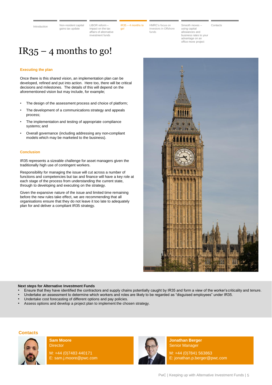<span id="page-5-0"></span>

LIBOR reform – impact on the tax [affairs of alternative](#page-3-0)  investment funds

IR35 – [4 months to](#page-5-0)  go!

HMRC's focus on [investors in Offshore](#page-6-0)  funds

[Contacts](#page-8-0)

Smooth moves – using capital allowances and [business rates to your](#page-7-0)  advantage on an office move project

## $IR35 - 4$  months to go!

#### **Executing the plan**

Once there is this shared vision, an implementation plan can be developed, refined and put into action. Here too, there will be critical decisions and milestones. The details of this will depend on the aforementioned vision but may include, for example;

- The design of the assessment process and choice of platform;
- The development of a communications strategy and appeals process;
- The implementation and testing of appropriate compliance systems; and
- Overall governance (including addressing any non-compliant models which may be marketed to the business).

#### **Conclusion**

IR35 represents a sizeable challenge for asset managers given the traditionally high use of contingent workers.

Responsibility for managing the issue will cut across a number of functions and competencies but tax and finance will have a key role at each stage of the process from understanding the current state, through to developing and executing on the strategy.

Given the expansive nature of the issue and limited time remaining before the new rules take effect, we are recommending that all organisations ensure that they do not leave it too late to adequately plan for and deliver a compliant IR35 strategy.



#### **Next steps for Alternative Investment Funds**

- Ensure that they have identified the contractors and supply chains potentially caught by IR35 and form a view of the worker'scriticality and tenure.
- Undertake an assessment to determine which workers and roles are likely to be regarded as "disguised employees" under IR35.
- Undertake cost forecasting of different options and pay policies.
- Assess options and develop a project plan to implement the chosen strategy.

#### **Contacts**



**Sam Moore Director** 

M: +44 (0)7483 440171 E: sam.j.moore@pwc.com



**Jonathan Berger** Senior Manager

M: +44 (0)7841 563863 E: jonathan.p.berger@pwc.com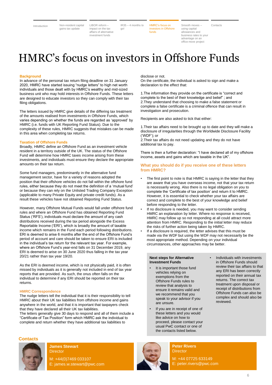<span id="page-6-0"></span>

LIBOR reform impact on the tax [affairs of alternative](#page-3-0)  investment funds

IR35 – [4 months to](#page-4-0)  go!

HMRC's focus on investors in Offshore funds

Smooth moves – using capital allowances and [business rates to your](#page-7-0)  advantage on an office move project [Contacts](#page-8-0)

## HMRC's focus on investors in Offshore Funds

#### **Background**

In advance of the personal tax return filing deadline on 31 January 2020, HMRC have started issuing "nudge letters" to high net worth individuals and those dealt with by HMRC's wealthy and mid-sized business unit who may hold interests in Offshore Funds. These letters are designed to educate investors so they can comply with their tax filing obligations.

The letters issued by HMRC give details of the differing tax treatment of the amounts realised from investments in Offshore Funds, which varies depending on whether the funds are regarded as 'approved' by HMRC (i.e. funds with UK Reporting Fund Status). Due to the complexity of these rules, HMRC suggests that mistakes can be made in this area when completing tax returns.

#### **Taxation of Offshore Funds**

Broadly, HMRC define an Offshore Fund as an investment vehicle resident in a territory outside of the UK. The status of the Offshore Fund will determine how HMRC taxes income arising from these investments, and individuals must ensure they declare the appropriate amounts on their tax return.

Some fund managers, predominantly in the alternative fund management sector, have for a variety of reasons adopted the position that their offshore vehicles do not fall within the offshore fund rules, either because they do not meet the definition of a 'mutual fund' or because they can rely on the Unlisted Trading Company Exception (applicable to many Private Equity and private credit funds). As a result these vehicles have not obtained Reporting Fund Status.

However, many Offshore Mutual Funds would fall under offshore fund rules and where an Offshore Fund has obtained Reporting Fund Status ('RFS'), individuals must declare the amount of any cash distributions received during the tax period alongside the Excess Reportable Income ('ERI'), which is broadly the amount of taxable income which remains in the Fund each period following distributions. ERI is deemed to arise 6 months after the end of the Offshore Fund's period of account and care should be taken to ensure ERI is included in the individual's tax return for the relevant tax year. For example, where an Offshore Fund's year-end falls on 31 December 2019, any ERI is deemed to arise on 30 June 2020 thus falling in the tax year 20/21 rather than tax year 19/20.

As the ERI is deemed income, which is not physically paid, it is often missed by individuals as it is generally not included in end of tax year reports that are provided. As such, the onus often falls on the individual to determine if any ERI should be reported on their tax returns.

#### **HMRC Correspondence**

The nudge letters tell the individual that it is their responsibility to tell HMRC about their UK tax liabilities from offshore income and gains anywhere in the world, and that it is important that taxpayers check that they have declared all their UK tax liabilities.

The letters generally give 30 days to respond and all of them include a "Certificate of Tax Position" form which HMRC ask the individual to complete and return whether they have additional tax liabilities to

#### **Contacts**



**James Stewart Director** 

M: +44(0)7469 033107 E: james.w.stewart@pwc.com



**Peter Rivers Director** 

M: +44 07725 633149 E: peter.rivers@pwc.com

#### disclose or not.

On the certificate, the individual is asked to sign and make a declaration to the effect that:

1.The information they provide on the certificate is "correct and complete to the best of their knowledge and belief" ; and 2.They understand that choosing to make a false statement or complete a false certificate is a criminal offence that can result in investigation and prosecution.

Recipients are also asked to tick that either:

1.Their tax affairs need to be brought up to date and they will make a disclosure of irregularities through the Worldwide Disclosure Facility ('WDF'); or

2.Their tax affairs do not need updating and they do not have additional tax to pay.

There is then a further declaration: "I have declared all of my offshore income, assets and gains which are taxable in the UK".

#### **What you should do if you receive one of these letters from HMRC?**

- The first point to note is that HMRC is saying in the letter that they are aware that you have overseas income, not that your tax return is necessarily wrong. Also there is no legal obligation on you to complete the 'Certificate of tax position' and return it to HMRC. However, it is essential to check whether your tax affairs are correct and complete to the best of your knowledge and belief before responding to the letter.
- If no disclosure is needed, you may want to consider sending HMRC an explanation by letter. Where no response is received, HMRC may follow up so not responding at all could attract more attention from HMRC. Responding to the initial letter may reduce the risks of further action being taken by HMRC.
- If a disclosure is required, the letter advises that this must be made via the WDF but using the WDF may not necessarily be the most appropriate method. Depending on your individual circumstances, other approaches may be better.

#### **Next steps for Alternative Investment Funds**

- It is important those fund vehicles relying on exemptions from the Offshore Funds rules to review that analysis to ensure it remains valid and we recommend that you speak to your advisor if you are unsure.
- If you are in receipt of one of these letters and you would like advice on how to proceed, please contact your usual PwC contact or one of the contacts listed below.
- Individuals with investments in Offshore Funds should review their tax affairs to that any ERI has been correctly reported on their annual tax returns. The correct tax treatment upon disposal or receipt of distributions from Offshore Funds can also be complex and should also be reviewed.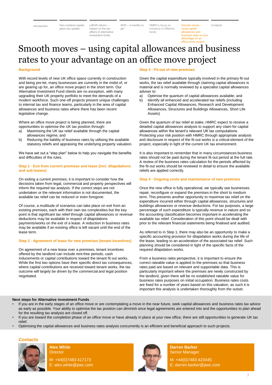<span id="page-7-0"></span>

LIBOR reform – impact on the tax [affairs of alternative](#page-3-0)  investment funds

IR35 – [4 months to](#page-4-0)  go!

HMRC's focus on investors in Offshore funds

Smooth mov using capital allowances and [business rates to your](#page-7-0)  advantage on an office move project

[Contacts](#page-8-0)

## Smooth moves – using capital allowances and business rates to your advantage on an office move project

#### **Background**

With record levels of new UK office space currently in construction and being pre-let, many businesses are currently in the midst of, or are gearing up for, an office move project in the short term. Our Alternative Investment Fund clients are no exception, with many upgrading their UK property portfolio to meet the demands of a modern workforce. Such one-off projects present unique challenges to internal tax and finance teams, particularly in the area of capital allowances and business rates where there has been recent legislative change.

Where an office move project is being planned, there are opportunities to optimise the UK tax position through:

- a) Maximising the UK tax relief available through the capital allowances regime; and
- b) Reducing the liability of business rates by utilising the available statutory reliefs and appraising the underlying property valuation.

We have set out a "step plan" below to help you navigate the benefits and difficulties of the rules.

#### **Step 1 - Exit from current premises and lease (incl. dilapidations and sub-leases)**

On exiting a current premises, it is important to consider how the decisions taken from legal, commercial and property perspectives will inform the required tax analysis. If the correct steps are not undertaken or the relevant information is not documented, the available tax relief can be reduced or even foregone.

Of course, a multitude of scenarios can take place on exit from an existing premises, each with their own tax complexities but the key point is that significant tax relief through capital allowances or revenue deductions may be available in respect of dilapidations payments/works on the exit of a lease. A reduction in business rates may be available if an existing office is left vacant until the end of the lease term.

#### **Step 2 - Agreement of lease for new premises (tenant incentives)**

On agreement of a new lease over a premises, tenant incentives offered by the landlord can include rent-free periods, cash inducements or capital contributions toward the tenant fit out works. While the first two options have their specific direct tax consequences, where capital contributions are received toward tenant works, the tax outcome will largely be driven by the commercial and legal position negotiated.

#### **Step 3 - Fit-out of new premises**

Given the capital expenditure typically involved in the primary fit-out works, the tax relief available through claiming capital allowances is material and is normally reviewed by a specialist capital allowances adviser to:

- a) Optimise the quantum of capital allowances available; and
- b) Identify all enhanced and accelerated tax reliefs (including Enhanced Capital Allowances, Research and Development Allowances, Structures and Buildings Allowances, Short Life Assets)

Given the quantum of tax relief at stake, HMRC expect to receive a detailed capital allowances analysis to support any claim for capital allowances within the tenant's relevant UK tax computations. Protecting your risk position with HMRC through appropriate analysis and disclosure in respect of the fit-out works is a critical element of the project, especially in light of the current UK tax environment.

It is also important to remember that in many circumstances business rates should not be paid during the tenant fit-out period at the full rate. A review of the business rates calculation for the periods affected by the fit-out works should be reviewed in detail to ensure the available reliefs are applied correctly.

#### **Step 4 - Ongoing costs and maintenance of new premises**

Once the new office is fully operational, we typically see businesses repair, reconfigure or expand the premises in the short to medium term. This presents another opportunity to maximise tax relief on the expenditure incurred either through capital allowances, structures and buildings allowances or revenue deductions. For tax purposes, a large percentage of such expenditure is typically revenue in nature and so the accounting classification becomes important in accelerating the available tax relief. Consideration of this point should be dealt with prior to the relevant financial statements being finalised and audited.

As referred to in Step 1, there may also be an opportunity to make a specific accounting provision for dilapidation works during the life of the lease, leading to an acceleration of the associated tax relief. Such planning should be considered in light of the specific facts of the required dilapidation works.

From a business rates perspective, it is important to ensure the correct rateable value is applied to the premises so that business rates paid are based on relevant and supportable data. This is particularly important where the premises are newly constructed by the landlord, given there will be no established rateable value for business rates purposes on initial occupation. Business rates costs are fixed for a number of years based on this valuation, as such it is important this analysis is undertaken thoroughly from the outset.

#### **Next steps for Alternative investment Funds**

- If you are in the early stages of an office move or are contemplating a move in the near future, seek capital allowances and business rates tax advice as early as possible. Your ability to optimise the tax position can diminish once legal agreements are entered into and the opportunities to plan ahead for the resulting tax analysis are closed off.
- If you are toward the completion phase of an office move or have already in place at your new office, there are still opportunities to generate UK tax relief.
- Optimising the capital allowances and business rates analysis concurrently is an efficient and beneficial approach to such projects.

#### **Contacts**



#### **Alex White Director**

M: +44(0)7483 417173 E: alex.white@pwc.com



**Darren Barker** Senior Manager

M: +44(0)7483 423445 E: darren.barker@pwc.com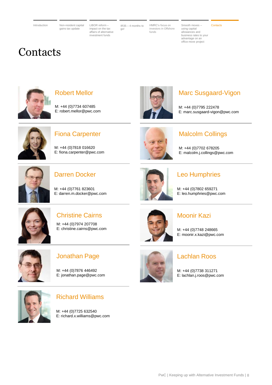<span id="page-8-0"></span>

LIBOR reform – impact on the tax [affairs of alternative](#page-3-0)  investment funds

IR35 – [4 months to](#page-4-0)  go!

HMRC's focus on [investors in Offshore](#page-5-0)  funds

#### **[Contacts](#page-8-0)**

using capital allowances and [business rates to your](#page-7-0)  advantage on an office move project

Smooth moves –

## **Contacts**



## Robert Mellor

M: +44 (0)7734 607485 E: robert.mellor@pwc.com



### Fiona Carpenter

M: +44 (0)7818 016620 E: fiona.carpenter@pwc.com



Marc Susgaard-Vigon

E: marc.susgaard-vigon@pwc.com

M: +44 (0)7702 678205 E: malcolm.j.collings@pwc.com

Malcolm Collings

M: +44 (0)7795 222478



### Darren Docker

M: +44 (0)7761 823601 E: darren.m.docker@pwc.com



### Leo Humphries

M: +44 (0)7802 659271 E: leo.humphries@pwc.com



## Christine Cairns

M: +44 (0)7974 207708 E: christine.cairns@pwc.com



### Moonir Kazi

M: +44 (0)7748 248665 E: moonir.x.kazi@pwc.com



### Jonathan Page

M: +44 (0)7876 446492 E: jonathan.page@pwc.com



### Lachlan Roos

M: +44 (0)7738 311271 E: lachlan.j.roos@pwc.com



### Richard Williams

M: +44 (0)7725 632540 E: richard.x.williams@pwc.com